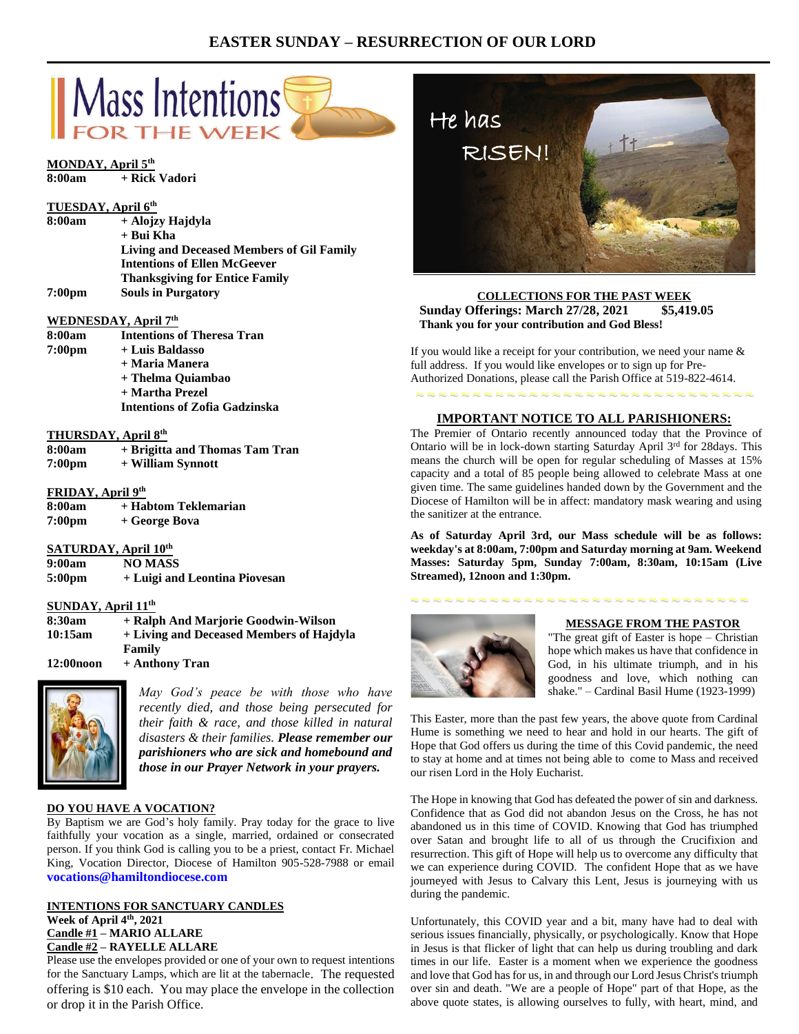# **EASTER SUNDAY – RESURRECTION OF OUR LORD**



## **SATURDAY, April 10th**

| 9:00am             | <b>NO MASS</b>                |
|--------------------|-------------------------------|
| 5:00 <sub>pm</sub> | + Luigi and Leontina Piovesan |

#### **SUNDAY, April 11th**

| 8:30am     | + Ralph And Marjorie Goodwin-Wilson      |
|------------|------------------------------------------|
| 10:15am    | + Living and Deceased Members of Hajdyla |
|            | Family                                   |
| 12:00 noon | + Anthony Tran                           |



*May God's peace be with those who have recently died, and those being persecuted for their faith & race, and those killed in natural disasters & their families. Please remember our parishioners who are sick and homebound and those in our Prayer Network in your prayers.*

#### **DO YOU HAVE A VOCATION?**

By Baptism we are God's holy family. Pray today for the grace to live faithfully your vocation as a single, married, ordained or consecrated person. If you think God is calling you to be a priest, contact Fr. Michael King, Vocation Director, Diocese of Hamilton 905-528-7988 or email **vocations@hamiltondiocese.com** 

## **INTENTIONS FOR SANCTUARY CANDLES Week of April 4th, 2021 Candle #1 – MARIO ALLARE Candle #2 – RAYELLE ALLARE**

Please use the envelopes provided or one of your own to request intentions for the Sanctuary Lamps, which are lit at the tabernacle. The requested offering is \$10 each. You may place the envelope in the collection or drop it in the Parish Office.



#### **COLLECTIONS FOR THE PAST WEEK Sunday Offerings: March 27/28, 2021 \$5,419.05 Thank you for your contribution and God Bless!**

If you would like a receipt for your contribution, we need your name  $\&$ full address. If you would like envelopes or to sign up for Pre-Authorized Donations, please call the Parish Office at 519-822-4614.

~ ~ ~ ~ ~ ~ ~ ~ ~ ~ ~ ~ ~ ~ ~ ~ ~ ~ ~ ~ ~ ~ ~ ~ ~ ~ ~ ~ ~ ~ **IMPORTANT NOTICE TO ALL PARISHIONERS:**

The Premier of Ontario recently announced today that the Province of Ontario will be in lock-down starting Saturday April 3rd for 28days. This means the church will be open for regular scheduling of Masses at 15% capacity and a total of 85 people being allowed to celebrate Mass at one given time. The same guidelines handed down by the Government and the Diocese of Hamilton will be in affect: mandatory mask wearing and using the sanitizer at the entrance.

**As of Saturday April 3rd, our Mass schedule will be as follows: weekday's at 8:00am, 7:00pm and Saturday morning at 9am. Weekend Masses: Saturday 5pm, Sunday 7:00am, 8:30am, 10:15am (Live Streamed), 12noon and 1:30pm.**

## ~ ~ ~ ~ ~ ~ ~ ~ ~ ~ ~ ~ ~ ~ ~ ~ ~ ~ ~ ~ ~ ~ ~ ~ ~ ~ ~ ~ ~ ~



#### **MESSAGE FROM THE PASTOR**

"The great gift of Easter is hope – Christian hope which makes us have that confidence in God, in his ultimate triumph, and in his goodness and love, which nothing can shake." – Cardinal Basil Hume (1923-1999)

This Easter, more than the past few years, the above quote from Cardinal Hume is something we need to hear and hold in our hearts. The gift of Hope that God offers us during the time of this Covid pandemic, the need to stay at home and at times not being able to come to Mass and received our risen Lord in the Holy Eucharist.

The Hope in knowing that God has defeated the power of sin and darkness. Confidence that as God did not abandon Jesus on the Cross, he has not abandoned us in this time of COVID. Knowing that God has triumphed over Satan and brought life to all of us through the Crucifixion and resurrection. This gift of Hope will help us to overcome any difficulty that we can experience during COVID. The confident Hope that as we have journeyed with Jesus to Calvary this Lent, Jesus is journeying with us during the pandemic.

Unfortunately, this COVID year and a bit, many have had to deal with serious issues financially, physically, or psychologically. Know that Hope in Jesus is that flicker of light that can help us during troubling and dark times in our life. Easter is a moment when we experience the goodness and love that God has for us, in and through our Lord Jesus Christ's triumph over sin and death. "We are a people of Hope" part of that Hope, as the above quote states, is allowing ourselves to fully, with heart, mind, and